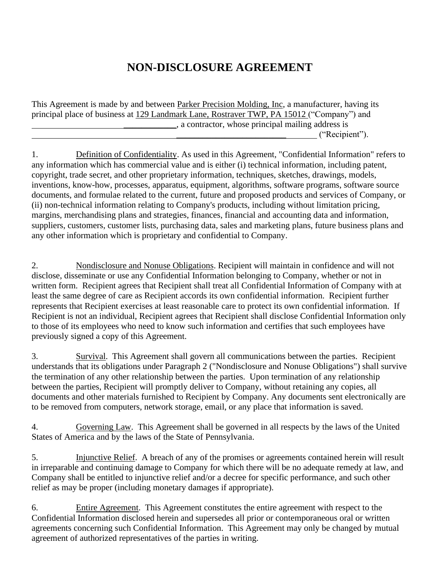## **NON-DISCLOSURE AGREEMENT**

This Agreement is made by and between Parker Precision Molding, Inc, a manufacturer, having its principal place of business at 129 Landmark Lane, Rostraver TWP, PA 15012 ("Company") and \_\_\_\_\_\_\_\_\_\_\_\_, a contractor, whose principal mailing address is  $("Recipi"')$ .

1. Definition of Confidentiality. As used in this Agreement, "Confidential Information" refers to any information which has commercial value and is either (i) technical information, including patent, copyright, trade secret, and other proprietary information, techniques, sketches, drawings, models, inventions, know-how, processes, apparatus, equipment, algorithms, software programs, software source documents, and formulae related to the current, future and proposed products and services of Company, or (ii) non-technical information relating to Company's products, including without limitation pricing, margins, merchandising plans and strategies, finances, financial and accounting data and information, suppliers, customers, customer lists, purchasing data, sales and marketing plans, future business plans and any other information which is proprietary and confidential to Company.

2. Nondisclosure and Nonuse Obligations. Recipient will maintain in confidence and will not disclose, disseminate or use any Confidential Information belonging to Company, whether or not in written form. Recipient agrees that Recipient shall treat all Confidential Information of Company with at least the same degree of care as Recipient accords its own confidential information. Recipient further represents that Recipient exercises at least reasonable care to protect its own confidential information. If Recipient is not an individual, Recipient agrees that Recipient shall disclose Confidential Information only to those of its employees who need to know such information and certifies that such employees have previously signed a copy of this Agreement.

3. Survival. This Agreement shall govern all communications between the parties. Recipient understands that its obligations under Paragraph 2 ("Nondisclosure and Nonuse Obligations") shall survive the termination of any other relationship between the parties. Upon termination of any relationship between the parties, Recipient will promptly deliver to Company, without retaining any copies, all documents and other materials furnished to Recipient by Company. Any documents sent electronically are to be removed from computers, network storage, email, or any place that information is saved.

4. Governing Law. This Agreement shall be governed in all respects by the laws of the United States of America and by the laws of the State of Pennsylvania.

5. Injunctive Relief. A breach of any of the promises or agreements contained herein will result in irreparable and continuing damage to Company for which there will be no adequate remedy at law, and Company shall be entitled to injunctive relief and/or a decree for specific performance, and such other relief as may be proper (including monetary damages if appropriate).

6. Entire Agreement. This Agreement constitutes the entire agreement with respect to the Confidential Information disclosed herein and supersedes all prior or contemporaneous oral or written agreements concerning such Confidential Information. This Agreement may only be changed by mutual agreement of authorized representatives of the parties in writing.